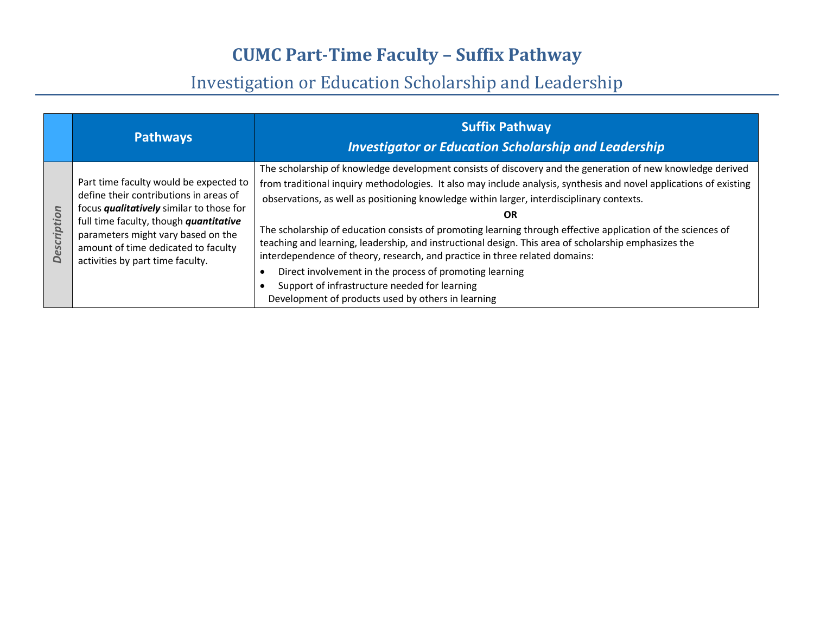|                    | <b>Pathways</b>                                                                                                                                                                                                                                                                                | <b>Suffix Pathway</b><br><b>Investigator or Education Scholarship and Leadership</b>                                                                                                                                                                                                                                                                                                                                                                                                                                                                                                                                                                                                                                                                                                                         |
|--------------------|------------------------------------------------------------------------------------------------------------------------------------------------------------------------------------------------------------------------------------------------------------------------------------------------|--------------------------------------------------------------------------------------------------------------------------------------------------------------------------------------------------------------------------------------------------------------------------------------------------------------------------------------------------------------------------------------------------------------------------------------------------------------------------------------------------------------------------------------------------------------------------------------------------------------------------------------------------------------------------------------------------------------------------------------------------------------------------------------------------------------|
| <b>Description</b> | Part time faculty would be expected to<br>define their contributions in areas of<br>focus <i>qualitatively</i> similar to those for<br>full time faculty, though quantitative<br>parameters might vary based on the<br>amount of time dedicated to faculty<br>activities by part time faculty. | The scholarship of knowledge development consists of discovery and the generation of new knowledge derived<br>from traditional inquiry methodologies. It also may include analysis, synthesis and novel applications of existing<br>observations, as well as positioning knowledge within larger, interdisciplinary contexts.<br>OR<br>The scholarship of education consists of promoting learning through effective application of the sciences of<br>teaching and learning, leadership, and instructional design. This area of scholarship emphasizes the<br>interdependence of theory, research, and practice in three related domains:<br>Direct involvement in the process of promoting learning<br>Support of infrastructure needed for learning<br>Development of products used by others in learning |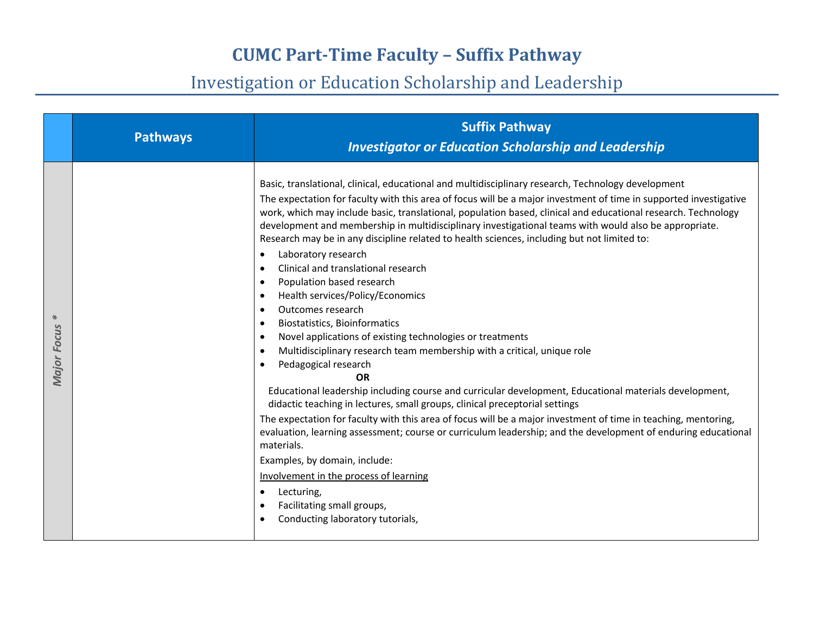|                           | <b>Pathways</b> | <b>Suffix Pathway</b><br><b>Investigator or Education Scholarship and Leadership</b>                                                                                                                                                                                                                                                                                                                                                                                                                                                                                                                                                                                                                                                                                                                                                                                                                                                                                                                                                                                                                                                                                                                                                                                                                                                                                                                                                                                                                                                                                                                                      |
|---------------------------|-----------------|---------------------------------------------------------------------------------------------------------------------------------------------------------------------------------------------------------------------------------------------------------------------------------------------------------------------------------------------------------------------------------------------------------------------------------------------------------------------------------------------------------------------------------------------------------------------------------------------------------------------------------------------------------------------------------------------------------------------------------------------------------------------------------------------------------------------------------------------------------------------------------------------------------------------------------------------------------------------------------------------------------------------------------------------------------------------------------------------------------------------------------------------------------------------------------------------------------------------------------------------------------------------------------------------------------------------------------------------------------------------------------------------------------------------------------------------------------------------------------------------------------------------------------------------------------------------------------------------------------------------------|
| $*$<br><b>Major Focus</b> |                 | Basic, translational, clinical, educational and multidisciplinary research, Technology development<br>The expectation for faculty with this area of focus will be a major investment of time in supported investigative<br>work, which may include basic, translational, population based, clinical and educational research. Technology<br>development and membership in multidisciplinary investigational teams with would also be appropriate.<br>Research may be in any discipline related to health sciences, including but not limited to:<br>Laboratory research<br>Clinical and translational research<br>Population based research<br>$\bullet$<br>Health services/Policy/Economics<br>$\bullet$<br>Outcomes research<br>$\bullet$<br><b>Biostatistics, Bioinformatics</b><br>$\bullet$<br>Novel applications of existing technologies or treatments<br>$\bullet$<br>Multidisciplinary research team membership with a critical, unique role<br>$\bullet$<br>Pedagogical research<br>$\bullet$<br><b>OR</b><br>Educational leadership including course and curricular development, Educational materials development,<br>didactic teaching in lectures, small groups, clinical preceptorial settings<br>The expectation for faculty with this area of focus will be a major investment of time in teaching, mentoring,<br>evaluation, learning assessment; course or curriculum leadership; and the development of enduring educational<br>materials.<br>Examples, by domain, include:<br>Involvement in the process of learning<br>Lecturing,<br>Facilitating small groups,<br>Conducting laboratory tutorials, |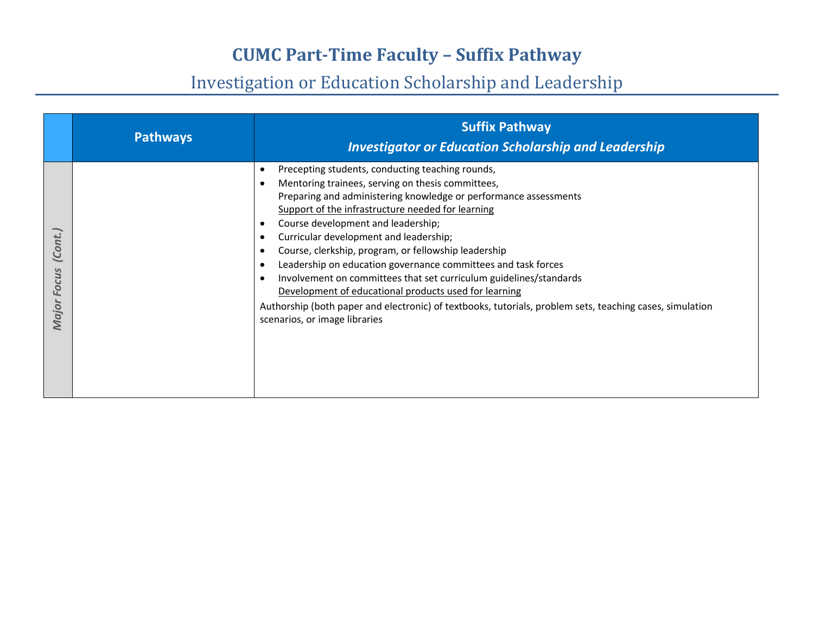|                                  | <b>Pathways</b> | <b>Suffix Pathway</b><br><b>Investigator or Education Scholarship and Leadership</b>                                                                                                                                                                                                                                                                                                                                                                                                                                                                                                                                                                                                                                     |
|----------------------------------|-----------------|--------------------------------------------------------------------------------------------------------------------------------------------------------------------------------------------------------------------------------------------------------------------------------------------------------------------------------------------------------------------------------------------------------------------------------------------------------------------------------------------------------------------------------------------------------------------------------------------------------------------------------------------------------------------------------------------------------------------------|
| (Cont.)<br><b>Focus</b><br>Major |                 | Precepting students, conducting teaching rounds,<br>Mentoring trainees, serving on thesis committees,<br>Preparing and administering knowledge or performance assessments<br>Support of the infrastructure needed for learning<br>Course development and leadership;<br>٠<br>Curricular development and leadership;<br>Course, clerkship, program, or fellowship leadership<br>Leadership on education governance committees and task forces<br>Involvement on committees that set curriculum guidelines/standards<br>Development of educational products used for learning<br>Authorship (both paper and electronic) of textbooks, tutorials, problem sets, teaching cases, simulation<br>scenarios, or image libraries |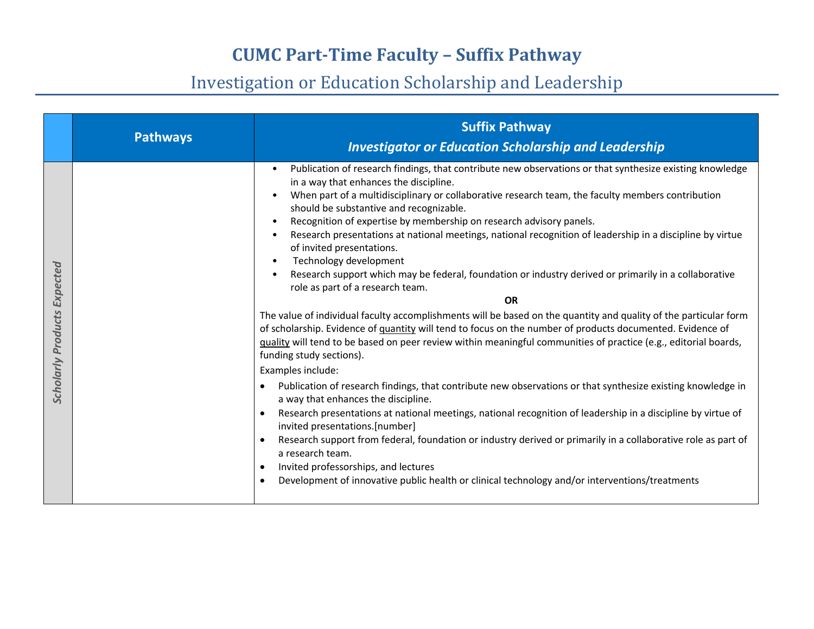|                                       | <b>Pathways</b> | <b>Suffix Pathway</b><br><b>Investigator or Education Scholarship and Leadership</b>                                                                                                                                                                                                                                                                                                                                                                                                                                                                                                                                                                                                                                                                                                                                                                                                                                                                                                                                                                                                                                                                                                                                                                                                                                                                                                                                                                                                                                                                                                                                                                                                                      |
|---------------------------------------|-----------------|-----------------------------------------------------------------------------------------------------------------------------------------------------------------------------------------------------------------------------------------------------------------------------------------------------------------------------------------------------------------------------------------------------------------------------------------------------------------------------------------------------------------------------------------------------------------------------------------------------------------------------------------------------------------------------------------------------------------------------------------------------------------------------------------------------------------------------------------------------------------------------------------------------------------------------------------------------------------------------------------------------------------------------------------------------------------------------------------------------------------------------------------------------------------------------------------------------------------------------------------------------------------------------------------------------------------------------------------------------------------------------------------------------------------------------------------------------------------------------------------------------------------------------------------------------------------------------------------------------------------------------------------------------------------------------------------------------------|
| Expected<br><b>Scholarly Products</b> |                 | Publication of research findings, that contribute new observations or that synthesize existing knowledge<br>in a way that enhances the discipline.<br>When part of a multidisciplinary or collaborative research team, the faculty members contribution<br>should be substantive and recognizable.<br>Recognition of expertise by membership on research advisory panels.<br>Research presentations at national meetings, national recognition of leadership in a discipline by virtue<br>of invited presentations.<br>Technology development<br>Research support which may be federal, foundation or industry derived or primarily in a collaborative<br>role as part of a research team.<br>OR<br>The value of individual faculty accomplishments will be based on the quantity and quality of the particular form<br>of scholarship. Evidence of quantity will tend to focus on the number of products documented. Evidence of<br>quality will tend to be based on peer review within meaningful communities of practice (e.g., editorial boards,<br>funding study sections).<br>Examples include:<br>Publication of research findings, that contribute new observations or that synthesize existing knowledge in<br>a way that enhances the discipline.<br>Research presentations at national meetings, national recognition of leadership in a discipline by virtue of<br>invited presentations.[number]<br>Research support from federal, foundation or industry derived or primarily in a collaborative role as part of<br>a research team.<br>Invited professorships, and lectures<br>$\bullet$<br>Development of innovative public health or clinical technology and/or interventions/treatments |